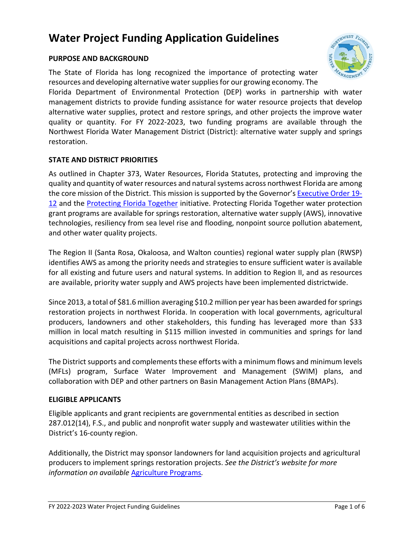# **Water Project Funding Application Guidelines**

# **PURPOSE AND BACKGROUND**

The State of Florida has long recognized the importance of protecting water resources and developing alternative water supplies for our growing economy. The

Florida Department of Environmental Protection (DEP) works in partnership with water management districts to provide funding assistance for water resource projects that develop alternative water supplies, protect and restore springs, and other projects the improve water quality or quantity. For FY 2022-2023, two funding programs are available through the Northwest Florida Water Management District (District): alternative water supply and springs restoration.

#### **STATE AND DISTRICT PRIORITIES**

As outlined in Chapter 373, Water Resources, Florida Statutes, protecting and improving the quality and quantity of water resources and natural systems across northwest Florida are among the core mission of the District. This mission is supported by the Governor's [Executive Order](https://www.flgov.com/wp-content/uploads/orders/2019/EO_19-12.pdf) 19- [12](https://www.flgov.com/wp-content/uploads/orders/2019/EO_19-12.pdf) and the [Protecting Florida Together](https://protectingfloridatogether.gov/) initiative. Protecting Florida Together water protection grant programs are available for springs restoration, alternative water supply (AWS), innovative technologies, resiliency from sea level rise and flooding, nonpoint source pollution abatement, and other water quality projects.

The Region II (Santa Rosa, Okaloosa, and Walton counties) regional water supply plan (RWSP) identifies AWS as among the priority needs and strategies to ensure sufficient water is available for all existing and future users and natural systems. In addition to Region II, and as resources are available, priority water supply and AWS projects have been implemented districtwide.

Since 2013, a total of \$81.6 million averaging \$10.2 million per year has been awarded for springs restoration projects in northwest Florida. In cooperation with local governments, agricultural producers, landowners and other stakeholders, this funding has leveraged more than \$33 million in local match resulting in \$115 million invested in communities and springs for land acquisitions and capital projects across northwest Florida.

The District supports and complements these efforts with a minimum flows and minimum levels (MFLs) program, Surface Water Improvement and Management (SWIM) plans, and collaboration with DEP and other partners on Basin Management Action Plans (BMAPs).

#### **ELIGIBLE APPLICANTS**

Eligible applicants and grant recipients are governmental entities as described in section 287.012(14), F.S., and public and nonprofit water supply and wastewater utilities within the District's 16-county region.

Additionally, the District may sponsor landowners for land acquisition projects and agricultural producers to implement springs restoration projects. *See the District's website for more information on available* [Agriculture Programs](https://www.nwfwater.com/Water-Resources/Agriculture)*.* 

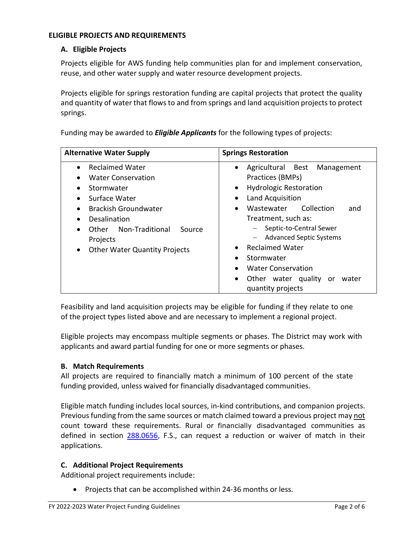#### **ELIGIBLE PROJECTS AND REQUIREMENTS**

# **A. Eligible Projects**

Projects eligible for AWS funding help communities plan for and implement conservation, reuse, and other water supply and water resource development projects.

Projects eligible for springs restoration funding are capital projects that protect the quality and quantity of water that flows to and from springs and land acquisition projects to protect springs.

Funding may be awarded to *Eligible Applicants* for the following types of projects:

| <b>Alternative Water Supply</b>                                                                                                                                                                                                                    | <b>Springs Restoration</b>                                                                                                                                                                                                                                                                                                                                                                                       |
|----------------------------------------------------------------------------------------------------------------------------------------------------------------------------------------------------------------------------------------------------|------------------------------------------------------------------------------------------------------------------------------------------------------------------------------------------------------------------------------------------------------------------------------------------------------------------------------------------------------------------------------------------------------------------|
| <b>Reclaimed Water</b><br><b>Water Conservation</b><br>Stormwater<br>Surface Water<br><b>Brackish Groundwater</b><br>Desalination<br>Other Non-Traditional<br>Source<br>$\bullet$<br>Projects<br><b>Other Water Quantity Projects</b><br>$\bullet$ | Agricultural Best<br>Management<br>$\bullet$<br>Practices (BMPs)<br><b>Hydrologic Restoration</b><br>$\bullet$<br>Land Acquisition<br>Collection<br>Wastewater<br>and<br>$\bullet$<br>Treatment, such as:<br>Septic-to-Central Sewer<br><b>Advanced Septic Systems</b><br><b>Reclaimed Water</b><br>Stormwater<br><b>Water Conservation</b><br>Other water quality or<br>water<br>$\bullet$<br>quantity projects |

Feasibility and land acquisition projects may be eligible for funding if they relate to one of the project types listed above and are necessary to implement a regional project.

Eligible projects may encompass multiple segments or phases. The District may work with applicants and award partial funding for one or more segments or phases.

# **B. Match Requirements**

All projects are required to financially match a minimum of 100 percent of the state funding provided, unless waived for financially disadvantaged communities.

Eligible match funding includes local sources, in-kind contributions, and companion projects. Previous funding from the same sources or match claimed toward a previous project may not count toward these requirements. Rural or financially disadvantaged communities as defined in section [288.0656,](http://www.leg.state.fl.us/statutes/index.cfm?App_mode=Display_Statute&Search_String=&URL=0200-0299/0288/Sections/0288.0656.html) F.S., can request a reduction or waiver of match in their applications.

# **C. Additional Project Requirements**

Additional project requirements include:

• Projects that can be accomplished within 24-36 months or less.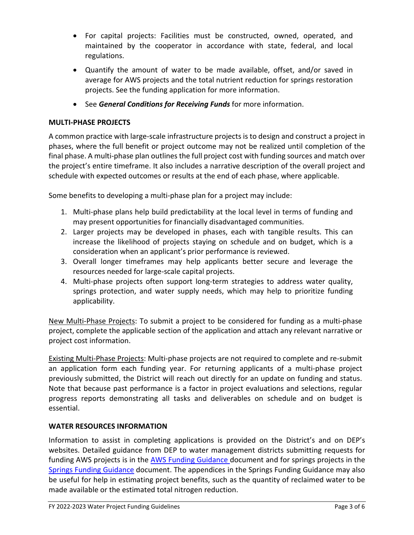- For capital projects: Facilities must be constructed, owned, operated, and maintained by the cooperator in accordance with state, federal, and local regulations.
- Quantify the amount of water to be made available, offset, and/or saved in average for AWS projects and the total nutrient reduction for springs restoration projects. See the funding application for more information.
- See *General Conditions for Receiving Funds* for more information.

# **MULTI-PHASE PROJECTS**

A common practice with large-scale infrastructure projects is to design and construct a project in phases, where the full benefit or project outcome may not be realized until completion of the final phase. A multi-phase plan outlines the full project cost with funding sources and match over the project's entire timeframe. It also includes a narrative description of the overall project and schedule with expected outcomes or results at the end of each phase, where applicable.

Some benefits to developing a multi-phase plan for a project may include:

- 1. Multi-phase plans help build predictability at the local level in terms of funding and may present opportunities for financially disadvantaged communities.
- 2. Larger projects may be developed in phases, each with tangible results. This can increase the likelihood of projects staying on schedule and on budget, which is a consideration when an applicant's prior performance is reviewed.
- 3. Overall longer timeframes may help applicants better secure and leverage the resources needed for large-scale capital projects.
- 4. Multi-phase projects often support long-term strategies to address water quality, springs protection, and water supply needs, which may help to prioritize funding applicability.

New Multi-Phase Projects: To submit a project to be considered for funding as a multi-phase project, complete the applicable section of the application and attach any relevant narrative or project cost information.

Existing Multi-Phase Projects: Multi-phase projects are not required to complete and re-submit an application form each funding year. For returning applicants of a multi-phase project previously submitted, the District will reach out directly for an update on funding and status. Note that because past performance is a factor in project evaluations and selections, regular progress reports demonstrating all tasks and deliverables on schedule and on budget is essential.

# **WATER RESOURCES INFORMATION**

Information to assist in completing applications is provided on the District's and on DEP's websites. Detailed guidance from DEP to water management districts submitting requests for funding AWS projects is in the [AWS Funding Guidance](https://floridadep.gov/sites/default/files/AWS%20Guidance%20Final_6_15_0.pdf) document and for springs projects in the [Springs Funding Guidance](https://floridadep.gov/sites/default/files/Spring%20Guidance%20Document%202017.pdf) document. The appendices in the Springs Funding Guidance may also be useful for help in estimating project benefits, such as the quantity of reclaimed water to be made available or the estimated total nitrogen reduction.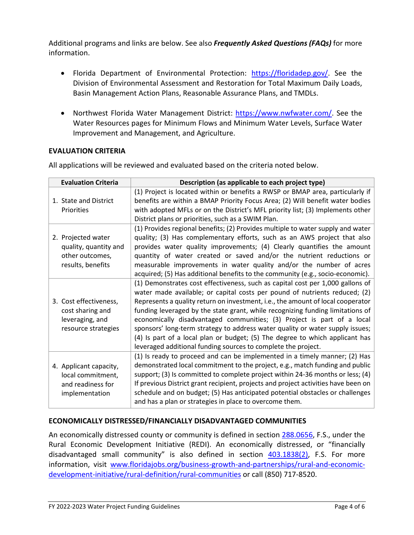Additional programs and links are below. See also *Frequently Asked Questions (FAQs)* for more information.

- Florida Department of Environmental Protection: [https://floridadep.gov/.](https://floridadep.gov/) See the Division of Environmental Assessment and Restoration for Total Maximum Daily Loads, Basin Management Action Plans, Reasonable Assurance Plans, and TMDLs.
- Northwest Florida Water Management District: [https://www.nwfwater.com/.](https://www.nwfwater.com/) See the Water Resources pages for Minimum Flows and Minimum Water Levels, Surface Water Improvement and Management, and Agriculture.

# **EVALUATION CRITERIA**

All applications will be reviewed and evaluated based on the criteria noted below.

| <b>Evaluation Criteria</b>                                                           | Description (as applicable to each project type)                                                                                                                                                                                                                                                                                                                                                                                                                                                                                                                                                                                              |
|--------------------------------------------------------------------------------------|-----------------------------------------------------------------------------------------------------------------------------------------------------------------------------------------------------------------------------------------------------------------------------------------------------------------------------------------------------------------------------------------------------------------------------------------------------------------------------------------------------------------------------------------------------------------------------------------------------------------------------------------------|
| 1. State and District<br>Priorities                                                  | (1) Project is located within or benefits a RWSP or BMAP area, particularly if<br>benefits are within a BMAP Priority Focus Area; (2) Will benefit water bodies<br>with adopted MFLs or on the District's MFL priority list; (3) Implements other<br>District plans or priorities, such as a SWIM Plan.                                                                                                                                                                                                                                                                                                                                       |
| 2. Projected water<br>quality, quantity and<br>other outcomes,<br>results, benefits  | (1) Provides regional benefits; (2) Provides multiple to water supply and water<br>quality; (3) Has complementary efforts, such as an AWS project that also<br>provides water quality improvements; (4) Clearly quantifies the amount<br>quantity of water created or saved and/or the nutrient reductions or<br>measurable improvements in water quality and/or the number of acres<br>acquired; (5) Has additional benefits to the community (e.g., socio-economic).                                                                                                                                                                        |
| 3. Cost effectiveness,<br>cost sharing and<br>leveraging, and<br>resource strategies | (1) Demonstrates cost effectiveness, such as capital cost per 1,000 gallons of<br>water made available; or capital costs per pound of nutrients reduced; (2)<br>Represents a quality return on investment, i.e., the amount of local cooperator<br>funding leveraged by the state grant, while recognizing funding limitations of<br>economically disadvantaged communities; (3) Project is part of a local<br>sponsors' long-term strategy to address water quality or water supply issues;<br>(4) Is part of a local plan or budget; (5) The degree to which applicant has<br>leveraged additional funding sources to complete the project. |
| 4. Applicant capacity,<br>local commitment,<br>and readiness for<br>implementation   | (1) Is ready to proceed and can be implemented in a timely manner; (2) Has<br>demonstrated local commitment to the project, e.g., match funding and public<br>support; (3) Is committed to complete project within 24-36 months or less; (4)<br>If previous District grant recipient, projects and project activities have been on<br>schedule and on budget; (5) Has anticipated potential obstacles or challenges<br>and has a plan or strategies in place to overcome them.                                                                                                                                                                |

# **ECONOMICALLY DISTRESSED/FINANCIALLY DISADVANTAGED COMMUNITIES**

An economically distressed county or community is defined in section [288.0656,](http://www.leg.state.fl.us/statutes/index.cfm?App_mode=Display_Statute&Search_String=&URL=0200-0299/0288/Sections/0288.0656.html) F.S., under the Rural Economic Development Initiative (REDI). An economically distressed, or "financially disadvantaged small community" is also defined in section 403.1838(2), F.S. For more information, visit [www.floridajobs.org/business-growth-and-partnerships/rural-and-economic](http://www.floridajobs.org/business-growth-and-partnerships/rural-and-economic-development-initiative/rural-definition/rural-communities)[development-initiative/rural-definition/rural-communities](http://www.floridajobs.org/business-growth-and-partnerships/rural-and-economic-development-initiative/rural-definition/rural-communities) or call (850) 717-8520.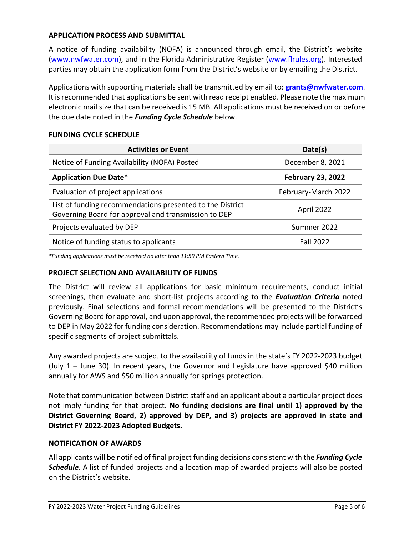#### **APPLICATION PROCESS AND SUBMITTAL**

A notice of funding availability (NOFA) is announced through email, the District's website [\(www.nwfwater.com\)](http://www.nwfwater.com/), and in the Florida Administrative Register [\(www.flrules.org\)](http://www.flrules.org/). Interested parties may obtain the application form from the District's website or by emailing the District.

Applications with supporting materials shall be transmitted by email to: **[grants@nwfwater.com](mailto:grants@nwfwater.com)**. It is recommended that applications be sent with read receipt enabled. Please note the maximum electronic mail size that can be received is 15 MB. All applications must be received on or before the due date noted in the *Funding Cycle Schedule* below.

| <b>Activities or Event</b>                                                                                        | Date(s)                  |
|-------------------------------------------------------------------------------------------------------------------|--------------------------|
| Notice of Funding Availability (NOFA) Posted                                                                      | December 8, 2021         |
| <b>Application Due Date*</b>                                                                                      | <b>February 23, 2022</b> |
| Evaluation of project applications                                                                                | February-March 2022      |
| List of funding recommendations presented to the District<br>Governing Board for approval and transmission to DEP | April 2022               |
| Projects evaluated by DEP                                                                                         | Summer 2022              |
| Notice of funding status to applicants                                                                            | <b>Fall 2022</b>         |

#### **FUNDING CYCLE SCHEDULE**

*\*Funding applications must be received no later than 11:59 PM Eastern Time.* 

#### **PROJECT SELECTION AND AVAILABILITY OF FUNDS**

The District will review all applications for basic minimum requirements, conduct initial screenings, then evaluate and short-list projects according to the *Evaluation Criteria* noted previously. Final selections and formal recommendations will be presented to the District's Governing Board for approval, and upon approval, the recommended projects will be forwarded to DEP in May 2022 for funding consideration. Recommendations may include partial funding of specific segments of project submittals.

Any awarded projects are subject to the availability of funds in the state's FY 2022-2023 budget (July 1 – June 30). In recent years, the Governor and Legislature have approved \$40 million annually for AWS and \$50 million annually for springs protection.

Note that communication between District staff and an applicant about a particular project does not imply funding for that project. **No funding decisions are final until 1) approved by the District Governing Board, 2) approved by DEP, and 3) projects are approved in state and District FY 2022-2023 Adopted Budgets.**

#### **NOTIFICATION OF AWARDS**

All applicants will be notified of final project funding decisions consistent with the *Funding Cycle Schedule*. A list of funded projects and a location map of awarded projects will also be posted on the District's website.